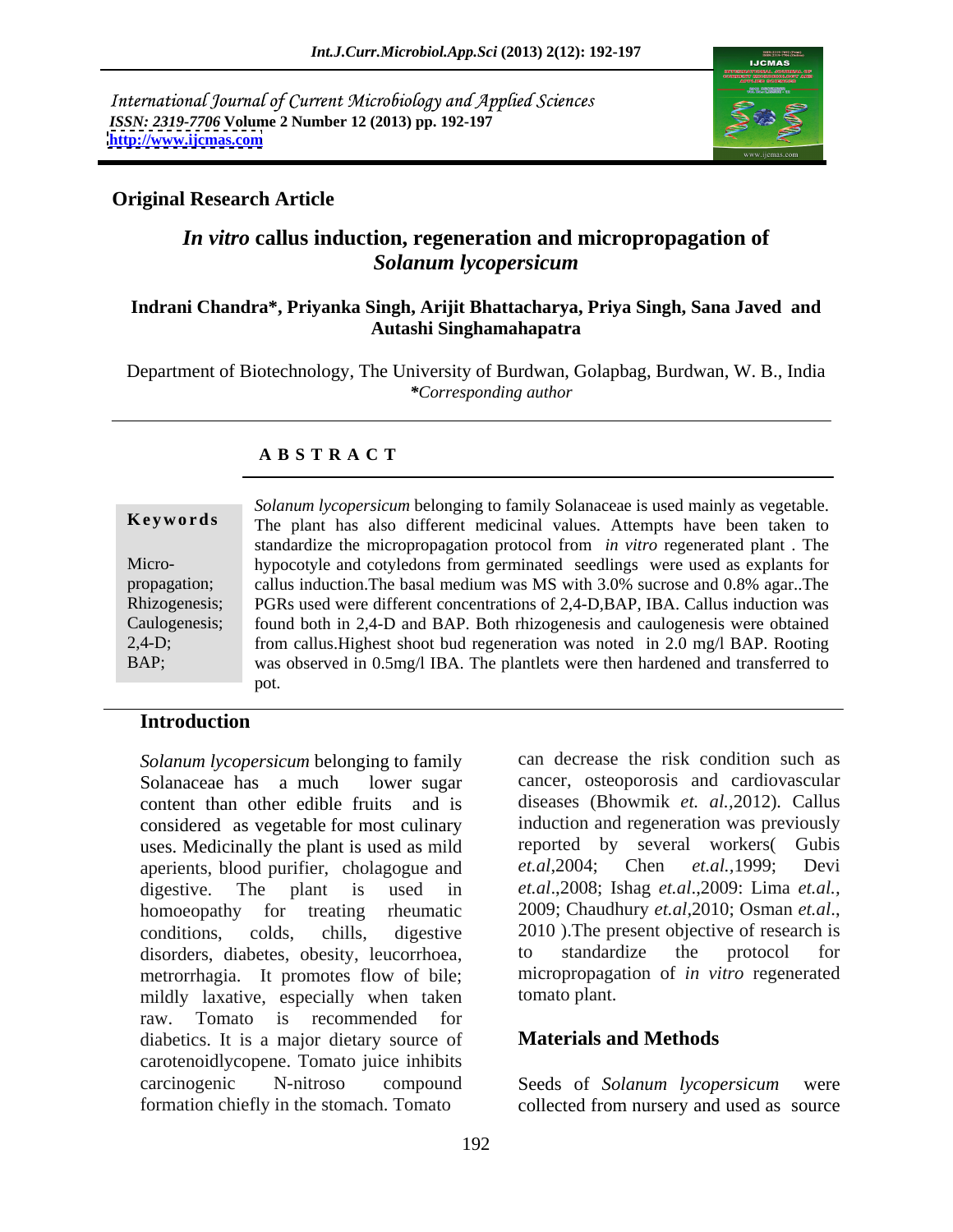International Journal of Current Microbiology and Applied Sciences *ISSN: 2319-7706* **Volume 2 Number 12 (2013) pp. 192-197 <http://www.ijcmas.com>**



# **Original Research Article**

# *In vitro* **callus induction, regeneration and micropropagation of**  *Solanum lycopersicum*

### **Indrani Chandra\*, Priyanka Singh, Arijit Bhattacharya, Priya Singh, Sana Javed and Autashi Singhamahapatra**

Department of Biotechnology, The University of Burdwan, Golapbag, Burdwan, W. B., India *\*Corresponding author*

## **A B S T R A C T**

|              | Solanum lycopersicum belonging to family Solanaceae is used mainly as vegetable.              |
|--------------|-----------------------------------------------------------------------------------------------|
| Keywords     | The plant has also different medicinal values. Attempts have been taken to                    |
|              | standardize the micropropagation protocol from <i>in vitro</i> regenerated plant. The         |
| Micro-       | hypocotyle and cotyledons from germinated seedlings were used as explants for                 |
| propagation; | callus induction. The basal medium was MS with 3.0% sucrose and 0.8% agar The                 |
|              | Rhizogenesis; PGRs used were different concentrations of 2,4-D,BAP, IBA. Callus induction was |
|              | Caulogenesis; found both in 2,4-D and BAP. Both rhizogenesis and caulogenesis were obtained   |
| $2,4-D;$     | from callus. Highest shoot bud regeneration was noted in 2.0 mg/l BAP. Rooting                |
| BAP;         | was observed in 0.5mg/l IBA. The plantlets were then hardened and transferred to              |
|              |                                                                                               |

## **Introduction**

*Solanum lycopersicum* belonging to family Solanaceae has a much lower sugar cancer, osteoporosis and cardiovascular content than other edible fruits and is considered as vegetable for most culinary uses. Medicinally the plant is used as mild aperients, blood purifier, cholagogue and et.al., 2004; Chen et.al., 1999; Devi digestive. The plant is used in *et.al*.,2008; Ishag *et.al*.,2009: Lima *et.al.,* homoeopathy for treating rheumatic 2009; Chaudhury et.al., 2010; Osman et.al., conditions, colds, chills, digestive 2010). The present objective of research is<br>disorders diabetes obesity leucorrhoea to standardize the protocol for disorders, diabetes, obesity, leucorrhoea, to standardize the protocol for metrorrhagia. It promotes flow of bile; micropropaga<br>mildly laxative, especially when taken tomato plant. mildly laxative, especially when taken raw. Tomato is recommended for diabetics. It is a major dietary source of carotenoidlycopene. Tomato juice inhibits carcinogenic N-nitroso compound Seeds of Solanum lycopersicum were

can decrease the risk condition such as diseases (Bhowmik *et. al.,*2012)*.* Callus induction and regeneration was previously reported by several workers( Gubis *et.al*,2004; Chen *et.al.,*1999; Devi 2009; Chaudhury *et.al*,2010; Osman *et.al*., 2010 ).The present objective of research is to standardize the protocol for micropropagation of *in vitro* regenerated tomato plant.

## **Materials and Methods**

formation chiefly in the stomach. Tomato collected from nursery and used as source Seeds of *Solanum lycopersicum* were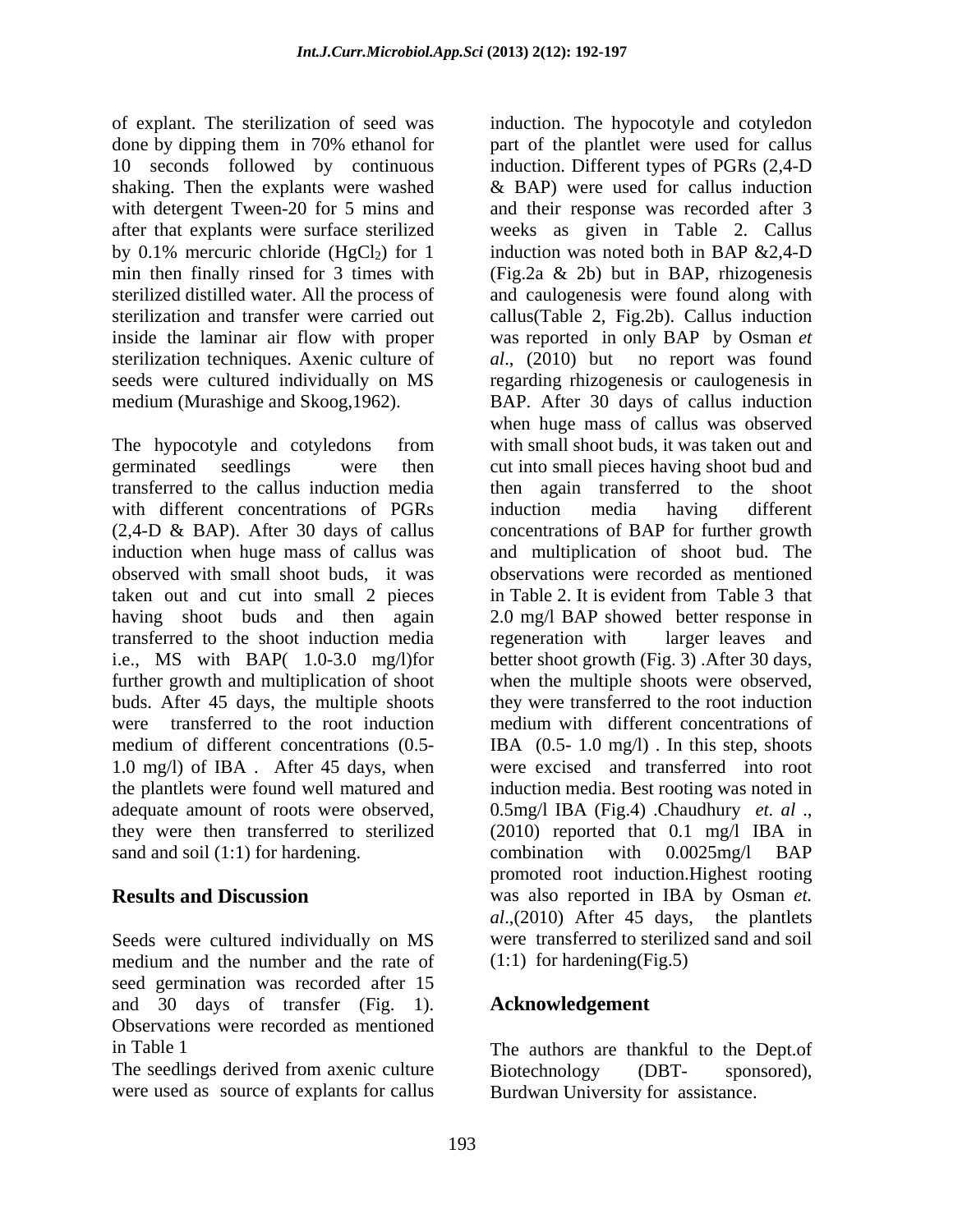of explant. The sterilization of seed was induction. The hypocotyle and cotyledon

with different concentrations of PGRs induction media having different taken out and cut into small 2 pieces in Table 2. It is evident from Table 3 that transferred to the shoot induction media further growth and multiplication of shoot were transferred to the root induction 1.0 mg/l) of IBA . After 45 days, when sand and soil (1:1) for hardening. combination with 0.0025 mg/l BAP

Seeds were cultured individually on MS medium and the number and the rate of seed germination was recorded after 15 and 30 days of transfer (Fig. 1). Observations were recorded as mentioned

The seedlings derived from axenic culture Biotechnology (DBT- sponsored), were used as source of explants for callus

done by dipping them in 70% ethanol for part of the plantlet were used for callus 10 seconds followed by continuous induction. Different typesof PGRs (2,4-D shaking. Then the explants were washed & BAP) were used for callus induction with detergent Tween-20 for 5 mins and and their response was recorded after 3 after that explants were surface sterilized weeks as given in Table 2. Callus by 0.1% mercuric chloride  $(HgCl<sub>2</sub>)$  for 1 induction was noted both in BAP & 2,4-D min then finally rinsed for 3 times with (Fig.2a & 2b) but in BAP, rhizogenesis sterilized distilled water. All the process of and caulogenesis were found along with sterilization and transfer were carried out callus(Table 2, Fig.2b). Callus induction inside the laminar air flow with proper was reported in only BAP by Osman *et*  sterilization techniques. Axenic culture of *al*., (2010) but no report was found seeds were cultured individually on MS regarding rhizogenesis or caulogenesis in medium (Murashige and Skoog,1962). BAP. After 30 days of callus induction The hypocotyle and cotyledons from with small shoot buds, it was taken out and germinated seedlings were then cut into small pieces having shoot bud and transferred to the callus induction media then again transferred to the shoot (2,4-D & BAP). After 30 days of callus concentrations of BAP for further growth induction when huge mass of callus was and multiplication of shoot bud. The observed with small shoot buds, it was observations were recorded as mentioned having shoot buds and then again 2.0 mg/l BAP showed better response in i.e., MS with BAP( 1.0-3.0 mg/l)for better shoot growth (Fig. 3) .After 30 days, buds. After 45 days, the multiple shoots they were transferred to the root induction medium of different concentrations (0.5- IBA (0.5- 1.0 mg/l) . In this step, shoots the plantlets were found well matured and induction media. Best rooting was noted in adequate amount of roots were observed, 0.5mg/l IBA (Fig.4) .Chaudhury *et. al* ., they were then transferred to sterilized (2010) reported that 0.1 mg/l IBA in **Results and Discussion** was also reported in IBA by Osman *et.*  induction was noted both in BAP &2,4-D when huge mass of callus was observed induction media having different in Table2. It is evident from Table 3 that regeneration with larger leaves and when the multiple shoots were observed, medium with different concentrations of were excised and transferred into root combination with 0.0025mg/l BAP promoted root induction.Highest rooting *al*.,(2010) After 45 days, the plantlets were transferred to sterilized sand and soil (1:1) for hardening(Fig.5)

# **Acknowledgement**

in Table 1 The authors are thankful to the Dept.of Biotechnology (DBT- sponsored), Burdwan University for assistance.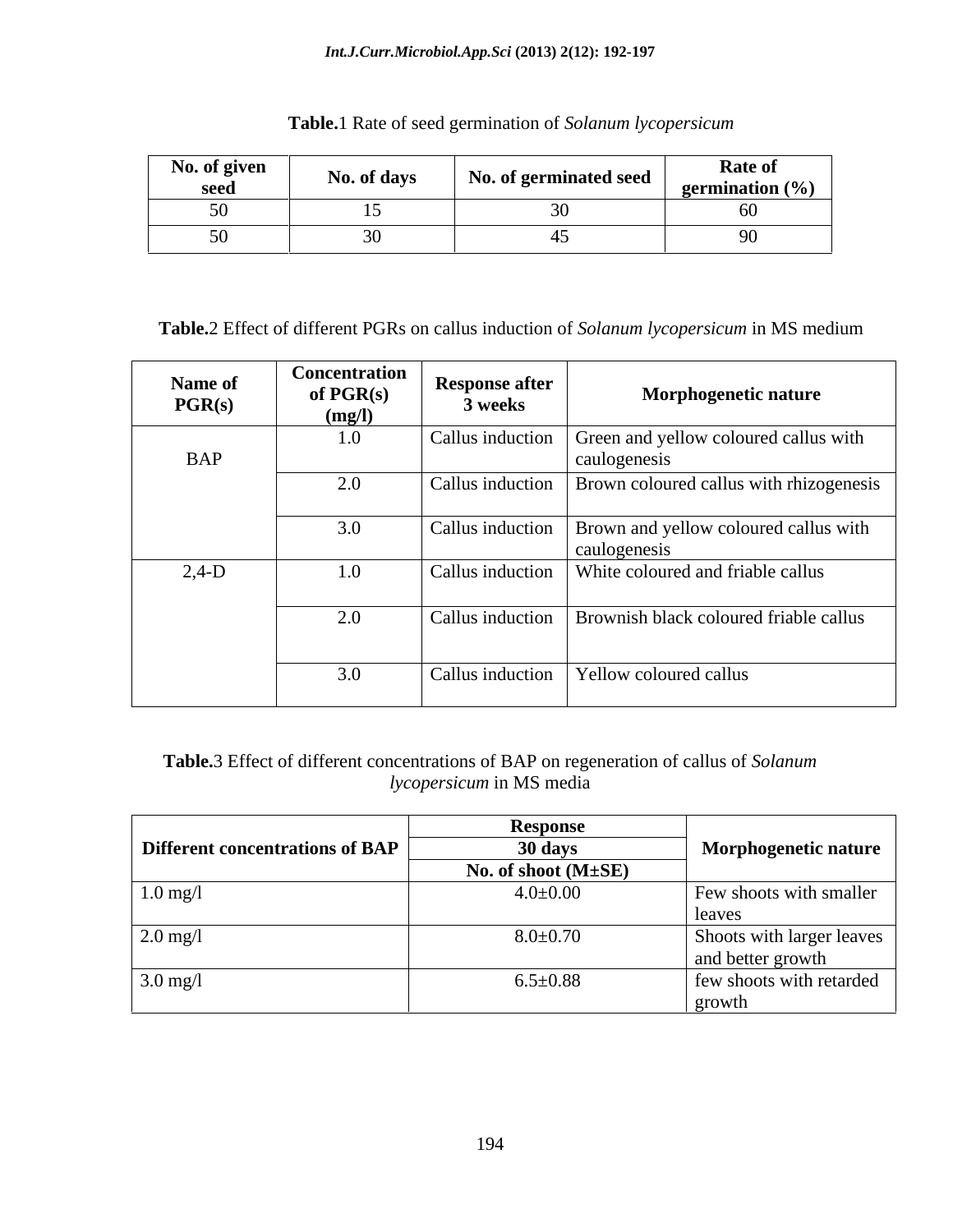### *Int.J.Curr.Microbiol.App.Sci* **(2013) 2(12): 192-197**

| No. of given<br>seea | $ -$<br>No. of days | <i>i</i> germinated seed<br>LVO. O | <b>Rate of</b><br>germination $(\% )$ |
|----------------------|---------------------|------------------------------------|---------------------------------------|
| ັັ                   |                     |                                    |                                       |
| - -                  |                     |                                    |                                       |

**Table.**1 Rate of seed germination of *Solanum lycopersicum*

**Table.**2 Effect of different PGRs on callus induction of *Solanum lycopersicum* in MS medium

| Name of<br>PGR(s) | Concentration<br>of $PGR(s)$<br>(mg/l) | <b>Response after</b><br>3 weeks | <b>Morphogenetic nature</b>                                              |
|-------------------|----------------------------------------|----------------------------------|--------------------------------------------------------------------------|
| <b>BAP</b>        | 1.0                                    |                                  | Callus induction Green and yellow coloured callus with<br>caulogenesis   |
|                   | 2.0                                    |                                  | Callus induction   Brown coloured callus with rhizogenesis               |
|                   | 3.0                                    |                                  | Callus induction   Brown and yellow coloured callus with<br>caulogenesis |
| $2,4-D$           | 1.0                                    |                                  | Callus induction   White coloured and friable callus                     |
|                   | 2.0                                    |                                  | Callus induction   Brownish black coloured friable callus                |
|                   | 3.0                                    |                                  | Callus induction   Yellow coloured callus                                |

**Table.**3 Effect of different concentrations of BAP on regeneration of callus of *Solanum lycopersicum* in MS media

| <b>Different concentrations of BAP</b> | Response<br>30 days       | Morphogenetic nature                           |
|----------------------------------------|---------------------------|------------------------------------------------|
|                                        | No. of shoot $(M \pm SE)$ |                                                |
| $1.0 \text{ mg}/1$                     | $4.0{\pm}0.00$            | Few shoots with smaller                        |
|                                        |                           | leaves                                         |
| $2.0$ mg/l                             | $8.0{\pm}0.70$            | Shoots with larger leaves<br>and better growth |
| $3.0$ mg/l                             | $6.5 \pm 0.88$            | few shoots with retarded<br>growth             |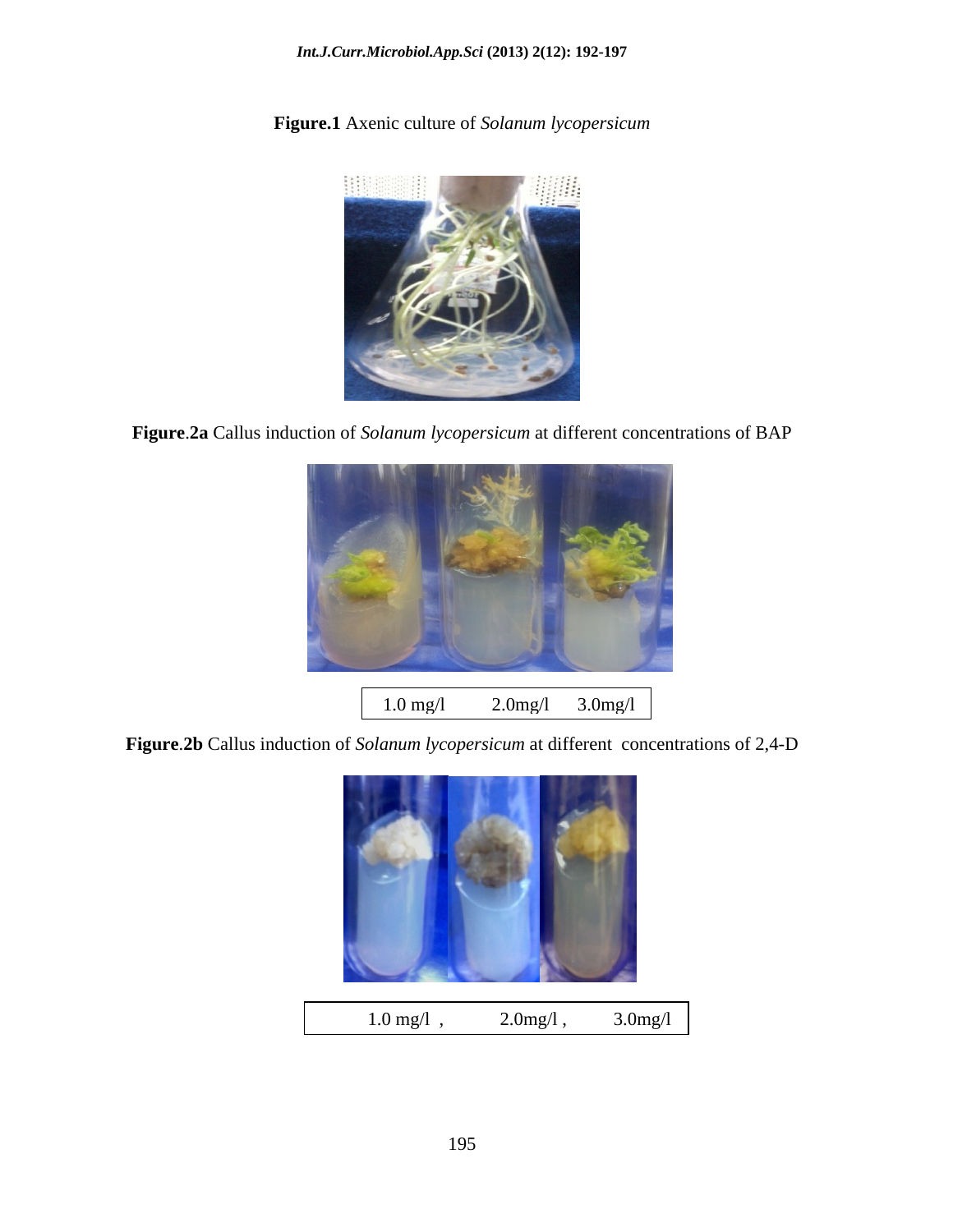### *Int.J.Curr.Microbiol.App.Sci* **(2013) 2(12): 192-197**

**Figure.1** Axenic culture of *Solanum lycopersicum*



**Figure**.**2a** Callus induction of *Solanum lycopersicum* at different concentrations of BAP



**Figure**.**2b** Callus induction of *Solanum lycopersicum* at different concentrations of 2,4-D



1.0 mg/l , 2.0mg/l , 3.0mg/l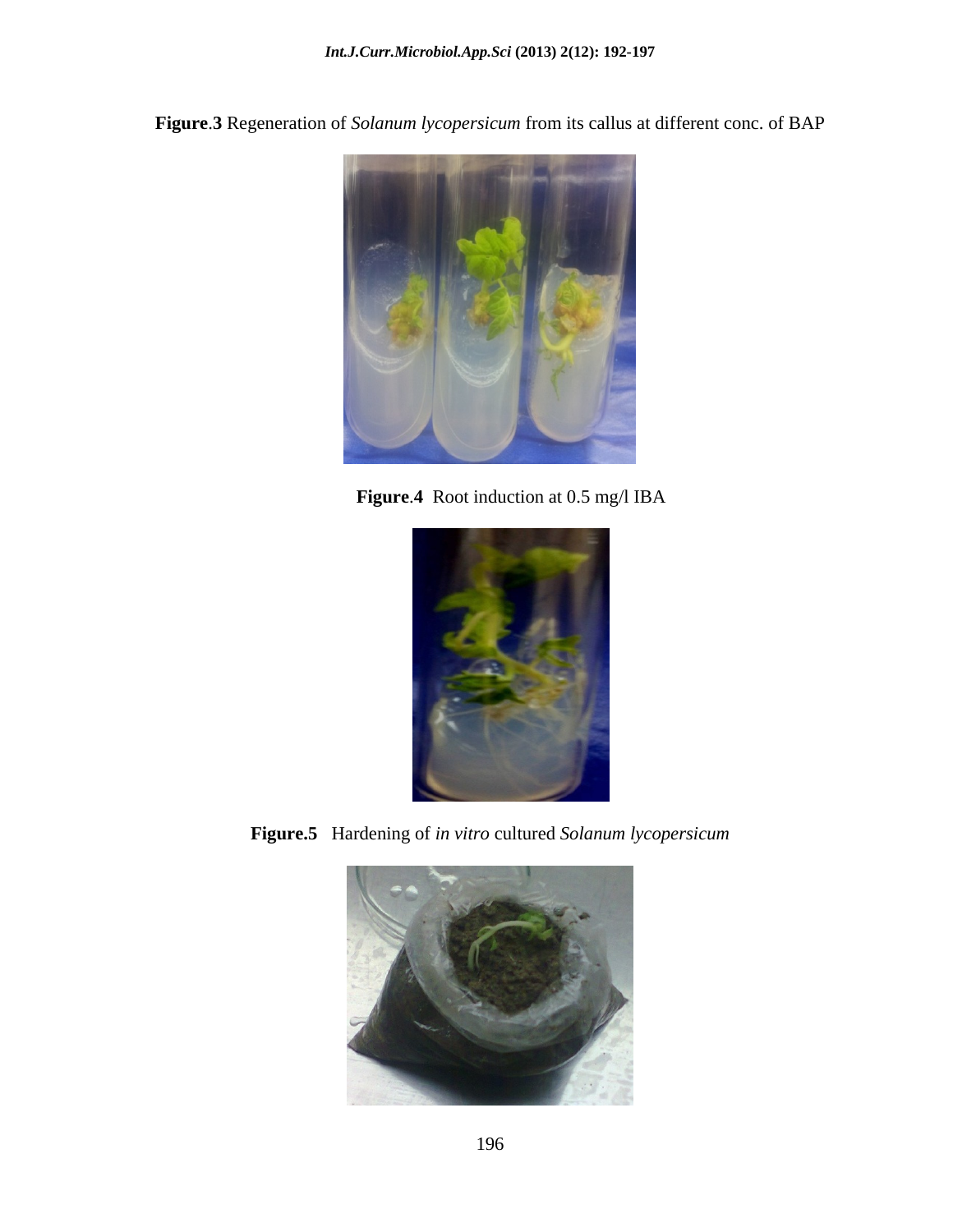**Figure**.**3** Regeneration of *Solanum lycopersicum* from its callus at different conc. of BAP



**Figure**.**4** Root induction at 0.5 mg/l IBA



**Figure.5** Hardening of *in vitro* cultured *Solanum lycopersicum*